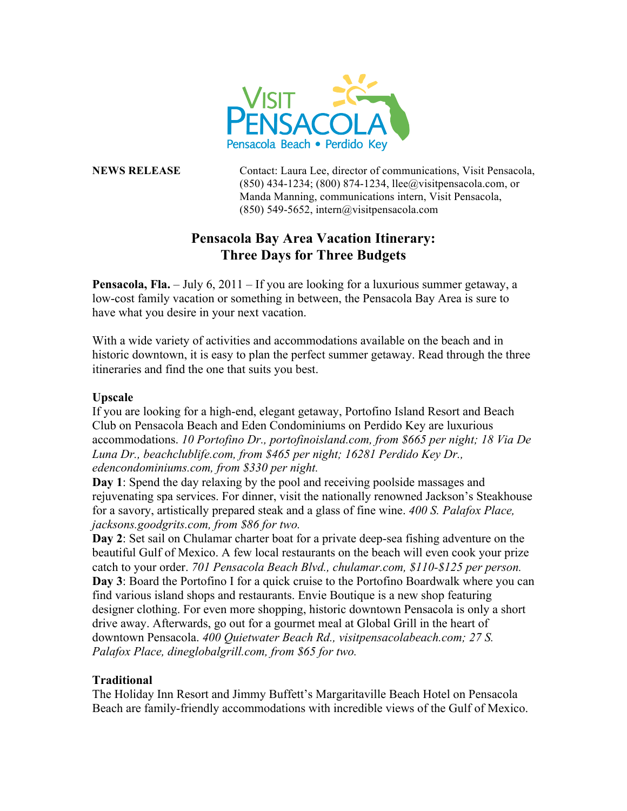

**NEWS RELEASE** Contact: Laura Lee, director of communications, Visit Pensacola, (850) 434-1234; (800) 874-1234, llee@visitpensacola.com, or Manda Manning, communications intern, Visit Pensacola, (850) 549-5652, intern@visitpensacola.com

## **Pensacola Bay Area Vacation Itinerary: Three Days for Three Budgets**

**Pensacola, Fla.** – July 6, 2011 – If you are looking for a luxurious summer getaway, a low-cost family vacation or something in between, the Pensacola Bay Area is sure to have what you desire in your next vacation.

With a wide variety of activities and accommodations available on the beach and in historic downtown, it is easy to plan the perfect summer getaway. Read through the three itineraries and find the one that suits you best.

## **Upscale**

If you are looking for a high-end, elegant getaway, Portofino Island Resort and Beach Club on Pensacola Beach and Eden Condominiums on Perdido Key are luxurious accommodations. *10 Portofino Dr., portofinoisland.com, from \$665 per night; 18 Via De Luna Dr., beachclublife.com, from \$465 per night; 16281 Perdido Key Dr., edencondominiums.com, from \$330 per night.*

**Day 1**: Spend the day relaxing by the pool and receiving poolside massages and rejuvenating spa services. For dinner, visit the nationally renowned Jackson's Steakhouse for a savory, artistically prepared steak and a glass of fine wine. *400 S. Palafox Place, jacksons.goodgrits.com, from \$86 for two.*

**Day 2**: Set sail on Chulamar charter boat for a private deep-sea fishing adventure on the beautiful Gulf of Mexico. A few local restaurants on the beach will even cook your prize catch to your order. *701 Pensacola Beach Blvd., chulamar.com, \$110-\$125 per person.* **Day 3**: Board the Portofino I for a quick cruise to the Portofino Boardwalk where you can find various island shops and restaurants. Envie Boutique is a new shop featuring designer clothing. For even more shopping, historic downtown Pensacola is only a short drive away. Afterwards, go out for a gourmet meal at Global Grill in the heart of downtown Pensacola. *400 Quietwater Beach Rd., visitpensacolabeach.com; 27 S. Palafox Place, dineglobalgrill.com, from \$65 for two.*

## **Traditional**

The Holiday Inn Resort and Jimmy Buffett's Margaritaville Beach Hotel on Pensacola Beach are family-friendly accommodations with incredible views of the Gulf of Mexico.